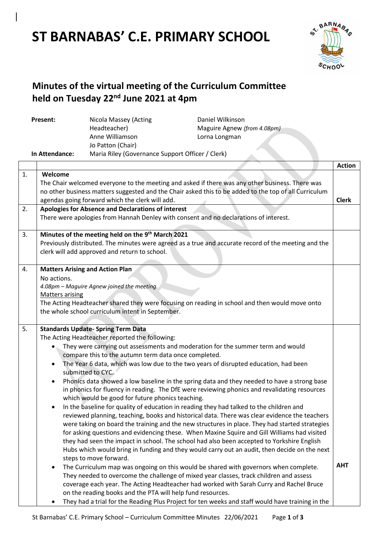# **ST BARNABAS' C.E. PRIMARY SCHOOL**



## **Minutes of the virtual meeting of the Curriculum Committee held on Tuesday 22nd June 2021 at 4pm**

| Present:       | Nicola Massey (Acting                            | Daniel Wilkinson            |
|----------------|--------------------------------------------------|-----------------------------|
|                | Headteacher)                                     | Maguire Agnew (from 4.08pm) |
|                | Anne Williamson                                  | Lorna Longman               |
|                | Jo Patton (Chair)                                |                             |
| In Attendance: | Maria Riley (Governance Support Officer / Clerk) |                             |

|    |                                                                                                          | <b>Action</b> |
|----|----------------------------------------------------------------------------------------------------------|---------------|
| 1. | Welcome                                                                                                  |               |
|    | The Chair welcomed everyone to the meeting and asked if there was any other business. There was          |               |
|    | no other business matters suggested and the Chair asked this to be added to the top of all Curriculum    |               |
|    | agendas going forward which the clerk will add.                                                          | <b>Clerk</b>  |
| 2. | Apologies for Absence and Declarations of interest                                                       |               |
|    | There were apologies from Hannah Denley with consent and no declarations of interest.                    |               |
|    |                                                                                                          |               |
| 3. | Minutes of the meeting held on the 9th March 2021                                                        |               |
|    | Previously distributed. The minutes were agreed as a true and accurate record of the meeting and the     |               |
|    | clerk will add approved and return to school.                                                            |               |
|    |                                                                                                          |               |
| 4. | <b>Matters Arising and Action Plan</b>                                                                   |               |
|    | No actions.                                                                                              |               |
|    | 4.08pm - Maguire Agnew joined the meeting.                                                               |               |
|    | <b>Matters arising</b>                                                                                   |               |
|    | The Acting Headteacher shared they were focusing on reading in school and then would move onto           |               |
|    | the whole school curriculum intent in September.                                                         |               |
|    |                                                                                                          |               |
| 5. | <b>Standards Update- Spring Term Data</b>                                                                |               |
|    | The Acting Headteacher reported the following:                                                           |               |
|    | They were carrying out assessments and moderation for the summer term and would                          |               |
|    | compare this to the autumn term data once completed.                                                     |               |
|    | The Year 6 data, which was low due to the two years of disrupted education, had been<br>$\bullet$        |               |
|    | submitted to CYC.                                                                                        |               |
|    | Phonics data showed a low baseline in the spring data and they needed to have a strong base<br>$\bullet$ |               |
|    | in phonics for fluency in reading. The DfE were reviewing phonics and revalidating resources             |               |
|    | which would be good for future phonics teaching.                                                         |               |
|    | In the baseline for quality of education in reading they had talked to the children and<br>$\bullet$     |               |
|    | reviewed planning, teaching, books and historical data. There was clear evidence the teachers            |               |
|    | were taking on board the training and the new structures in place. They had started strategies           |               |
|    | for asking questions and evidencing these. When Maxine Squire and Gill Williams had visited              |               |
|    | they had seen the impact in school. The school had also been accepted to Yorkshire English               |               |
|    | Hubs which would bring in funding and they would carry out an audit, then decide on the next             |               |
|    | steps to move forward.                                                                                   | <b>AHT</b>    |
|    | The Curriculum map was ongoing on this would be shared with governors when complete.<br>$\bullet$        |               |
|    | They needed to overcome the challenge of mixed year classes, track children and assess                   |               |
|    | coverage each year. The Acting Headteacher had worked with Sarah Curry and Rachel Bruce                  |               |
|    | on the reading books and the PTA will help fund resources.                                               |               |
|    | They had a trial for the Reading Plus Project for ten weeks and staff would have training in the         |               |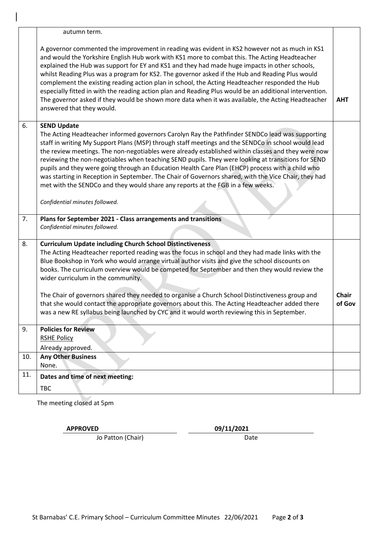|     | autumn term.                                                                                                                                                                                                                                                                                                                                                                                                                                                                                                                                                                                                                                                                                                                                       |                        |
|-----|----------------------------------------------------------------------------------------------------------------------------------------------------------------------------------------------------------------------------------------------------------------------------------------------------------------------------------------------------------------------------------------------------------------------------------------------------------------------------------------------------------------------------------------------------------------------------------------------------------------------------------------------------------------------------------------------------------------------------------------------------|------------------------|
|     | A governor commented the improvement in reading was evident in KS2 however not as much in KS1<br>and would the Yorkshire English Hub work with KS1 more to combat this. The Acting Headteacher<br>explained the Hub was support for EY and KS1 and they had made huge impacts in other schools,<br>whilst Reading Plus was a program for KS2. The governor asked if the Hub and Reading Plus would<br>complement the existing reading action plan in school, the Acting Headteacher responded the Hub<br>especially fitted in with the reading action plan and Reading Plus would be an additional intervention.<br>The governor asked if they would be shown more data when it was available, the Acting Headteacher<br>answered that they would. | <b>AHT</b>             |
| 6.  | <b>SEND Update</b>                                                                                                                                                                                                                                                                                                                                                                                                                                                                                                                                                                                                                                                                                                                                 |                        |
|     | The Acting Headteacher informed governors Carolyn Ray the Pathfinder SENDCo lead was supporting<br>staff in writing My Support Plans (MSP) through staff meetings and the SENDCo in school would lead<br>the review meetings. The non-negotiables were already established within classes and they were now<br>reviewing the non-negotiables when teaching SEND pupils. They were looking at transitions for SEND<br>pupils and they were going through an Education Health Care Plan (EHCP) process with a child who<br>was starting in Reception in September. The Chair of Governors shared, with the Vice Chair, they had<br>met with the SENDCo and they would share any reports at the FGB in a few weeks.                                   |                        |
|     | Confidential minutes followed.                                                                                                                                                                                                                                                                                                                                                                                                                                                                                                                                                                                                                                                                                                                     |                        |
| 7.  | Plans for September 2021 - Class arrangements and transitions<br>Confidential minutes followed.                                                                                                                                                                                                                                                                                                                                                                                                                                                                                                                                                                                                                                                    |                        |
|     |                                                                                                                                                                                                                                                                                                                                                                                                                                                                                                                                                                                                                                                                                                                                                    |                        |
| 8.  | <b>Curriculum Update including Church School Distinctiveness</b>                                                                                                                                                                                                                                                                                                                                                                                                                                                                                                                                                                                                                                                                                   |                        |
|     | The Acting Headteacher reported reading was the focus in school and they had made links with the<br>Blue Bookshop in York who would arrange virtual author visits and give the school discounts on<br>books. The curriculum overview would be competed for September and then they would review the<br>wider curriculum in the community.                                                                                                                                                                                                                                                                                                                                                                                                          |                        |
|     | The Chair of governors shared they needed to organise a Church School Distinctiveness group and<br>that she would contact the appropriate governors about this. The Acting Headteacher added there<br>was a new RE syllabus being launched by CYC and it would worth reviewing this in September.                                                                                                                                                                                                                                                                                                                                                                                                                                                  | <b>Chair</b><br>of Gov |
| 9.  | <b>Policies for Review</b>                                                                                                                                                                                                                                                                                                                                                                                                                                                                                                                                                                                                                                                                                                                         |                        |
|     | <b>RSHE Policy</b>                                                                                                                                                                                                                                                                                                                                                                                                                                                                                                                                                                                                                                                                                                                                 |                        |
|     | Already approved.                                                                                                                                                                                                                                                                                                                                                                                                                                                                                                                                                                                                                                                                                                                                  |                        |
| 10. | <b>Any Other Business</b><br>None.                                                                                                                                                                                                                                                                                                                                                                                                                                                                                                                                                                                                                                                                                                                 |                        |
| 11. | Dates and time of next meeting:                                                                                                                                                                                                                                                                                                                                                                                                                                                                                                                                                                                                                                                                                                                    |                        |

The meeting closed at 5pm

**APPROVED 09/11/2021**

Jo Patton (Chair) Date